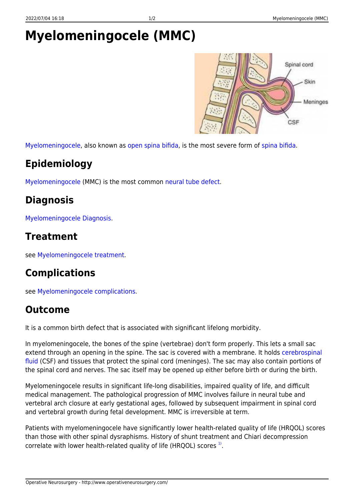# <span id="page-0-0"></span>**Myelomeningocele (MMC)**



[Myelomeningocele,](#page-0-0) also known as [open spina bifida](http://www.operativeneurosurgery.com/doku.php?id=open_spina_bifida), is the most severe form of [spina bifida](http://www.operativeneurosurgery.com/doku.php?id=spina_bifida).

## **Epidemiology**

[Myelomeningocele](#page-0-0) (MMC) is the most common [neural tube defect.](http://www.operativeneurosurgery.com/doku.php?id=neural_tube_defect)

#### **Diagnosis**

[Myelomeningocele Diagnosis.](http://www.operativeneurosurgery.com/doku.php?id=myelomeningocele_diagnosis)

#### **Treatment**

see [Myelomeningocele treatment](http://www.operativeneurosurgery.com/doku.php?id=myelomeningocele_treatment).

## **Complications**

see [Myelomeningocele complications.](http://www.operativeneurosurgery.com/doku.php?id=myelomeningocele_complications)

#### **Outcome**

It is a common birth defect that is associated with significant lifelong morbidity.

In myelomeningocele, the bones of the spine (vertebrae) don't form properly. This lets a small sac extend through an opening in the spine. The sac is covered with a membrane. It holds [cerebrospinal](http://www.operativeneurosurgery.com/doku.php?id=cerebrospinal_fluid) [fluid](http://www.operativeneurosurgery.com/doku.php?id=cerebrospinal_fluid) (CSF) and tissues that protect the spinal cord (meninges). The sac may also contain portions of the spinal cord and nerves. The sac itself may be opened up either before birth or during the birth.

Myelomeningocele results in significant life-long disabilities, impaired quality of life, and difficult medical management. The pathological progression of MMC involves failure in neural tube and vertebral arch closure at early gestational ages, followed by subsequent impairment in spinal cord and vertebral growth during fetal development. MMC is irreversible at term.

Patients with myelomeningocele have significantly lower health-related quality of life (HRQOL) scores than those with other spinal dysraphisms. History of shunt treatment and Chiari decompression correlate with lower health-related quality of life (HRQOL) scores <sup>[1\)](#page--1-0)</sup>.